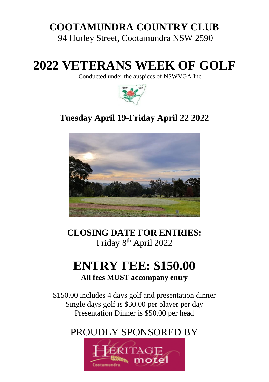# **COOTAMUNDRA COUNTRY CLUB**

94 Hurley Street, Cootamundra NSW 2590

# **2022 VETERANS WEEK OF GOLF**

Conducted under the auspices of NSWVGA Inc.



### **Tuesday April 19-Friday April 22 2022**



**CLOSING DATE FOR ENTRIES:** Friday 8<sup>th</sup> April 2022

## **ENTRY FEE: \$150.00 All fees MUST accompany entry**

\$150.00 includes 4 days golf and presentation dinner Single days golf is \$30.00 per player per day Presentation Dinner is \$50.00 per head

### PROUDLY SPONSORED BY

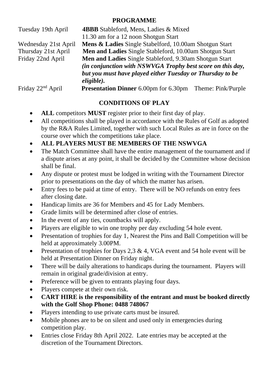#### **PROGRAMME**

| Tuesday 19th April            | <b>4BBB</b> Stableford, Mens, Ladies & Mixed                                                                         |  |
|-------------------------------|----------------------------------------------------------------------------------------------------------------------|--|
|                               | 11.30 am for a 12 noon Shotgun Start                                                                                 |  |
| Wednesday 21st April          | Mens & Ladies Single Stabelford, 10.00am Shotgun Start                                                               |  |
| Thursday 21st April           | Men and Ladies Single Stableford, 10.00am Shotgun Start                                                              |  |
| Friday 22nd April             | Men and Ladies Single Stableford, 9.30am Shotgun Start<br>(in conjunction with NSWVGA Trophy best score on this day, |  |
|                               |                                                                                                                      |  |
|                               | but you must have played either Tuesday or Thursday to be                                                            |  |
|                               | eligible).                                                                                                           |  |
| Friday 22 <sup>nd</sup> April | <b>Presentation Dinner</b> 6.00pm for 6.30pm<br>Theme: Pink/Purple                                                   |  |

#### **CONDITIONS OF PLAY**

- **ALL** competitors **MUST** register prior to their first day of play.
- All competitions shall be played in accordance with the Rules of Golf as adopted by the R&A Rules Limited, together with such Local Rules as are in force on the course over which the competitions take place.
- **ALL PLAYERS MUST BE MEMBERS OF THE NSWVGA**
- The Match Committee shall have the entire management of the tournament and if a dispute arises at any point, it shall be decided by the Committee whose decision shall be final.
- Any dispute or protest must be lodged in writing with the Tournament Director prior to presentations on the day of which the matter has arisen.
- Entry fees to be paid at time of entry. There will be NO refunds on entry fees after closing date.
- Handicap limits are 36 for Members and 45 for Lady Members.
- Grade limits will be determined after close of entries.
- In the event of any ties, countbacks will apply.
- Players are eligible to win one trophy per day excluding 54 hole event.
- Presentation of trophies for day 1, Nearest the Pins and Ball Competition will be held at approximately 3.00PM.
- Presentation of trophies for Days 2.3 & 4, VGA event and 54 hole event will be held at Presentation Dinner on Friday night.
- There will be daily alterations to handicaps during the tournament. Players will remain in original grade/division at entry.
- Preference will be given to entrants playing four days.
- Players compete at their own risk.
- **CART HIRE is the responsibility of the entrant and must be booked directly with the Golf Shop Phone: 0488 748067**
- Players intending to use private carts must be insured.
- Mobile phones are to be on silent and used only in emergencies during competition play.
- Entries close Friday 8th April 2022. Late entries may be accepted at the discretion of the Tournament Directors.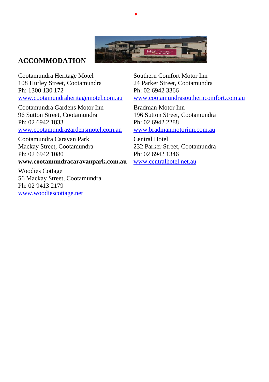

•

#### **ACCOMMODATION**

Cootamundra Heritage Motel Southern Comfort Motor Inn 108 Hurley Street, Cootamundra 24 Parker Street, Cootamundra Ph: 1300 130 172 Ph: 02 6942 3366 [www.cootamundraheritagemotel.com.au](http://www.cootamundraheritagemotel.com.au/) [www.cootamundrasoutherncomfort.com.au](http://www.cootamundrasoutherncomfort.com.au/)

Cootamundra Gardens Motor Inn Bradman Motor Inn Ph: 02 6942 1833 Ph: 02 6942 2288 [www.cootamundragardensmotel.com.au](http://www.cootamundragardensmotel.com.au/) [www.bradmanmotorinn.com.au](http://www.bradmanmotorinn.com.au/)

Cootamundra Caravan Park Central Hotel Mackay Street, Cootamundra 232 Parker Street, Cootamundra Ph: 02 6942 1080 Ph: 02 6942 1346

#### **www.cootamundracaravanpark.com.au** [www.centralhotel.net.au](http://www.centralhotel.net.au/)

Woodies Cottage 56 Mackay Street, Cootamundra Ph: 02 9413 2179 [www.woodiescottage.net](http://www.woodiescottage.net/)

96 Sutton Street, Cootamundra 196 Sutton Street, Cootamundra